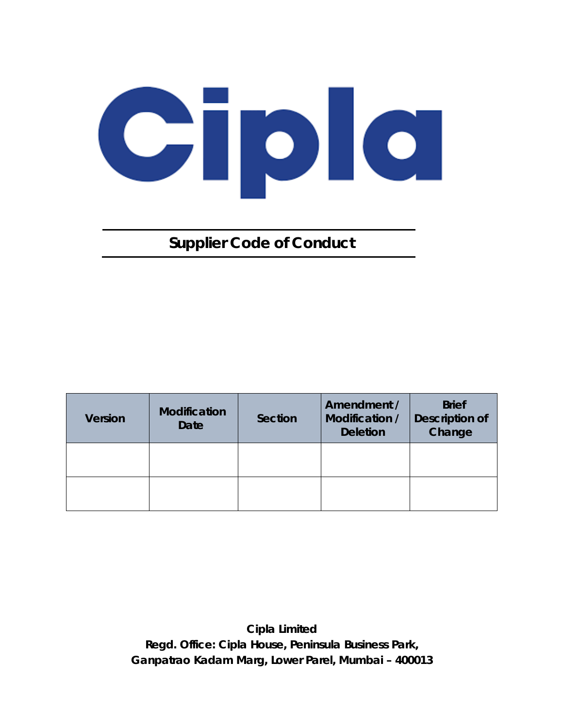# Giple

# **Supplier Code of Conduct**

| <b>Version</b> | <b>Modification</b><br><b>Date</b> | Section | Amendment /<br>Modification /<br><b>Deletion</b> | <b>Brief</b><br><b>Description of</b><br>Change |
|----------------|------------------------------------|---------|--------------------------------------------------|-------------------------------------------------|
|                |                                    |         |                                                  |                                                 |
|                |                                    |         |                                                  |                                                 |

**Cipla Limited Regd. Office: Cipla House, Peninsula Business Park, Ganpatrao Kadam Marg, Lower Parel, Mumbai – 400013**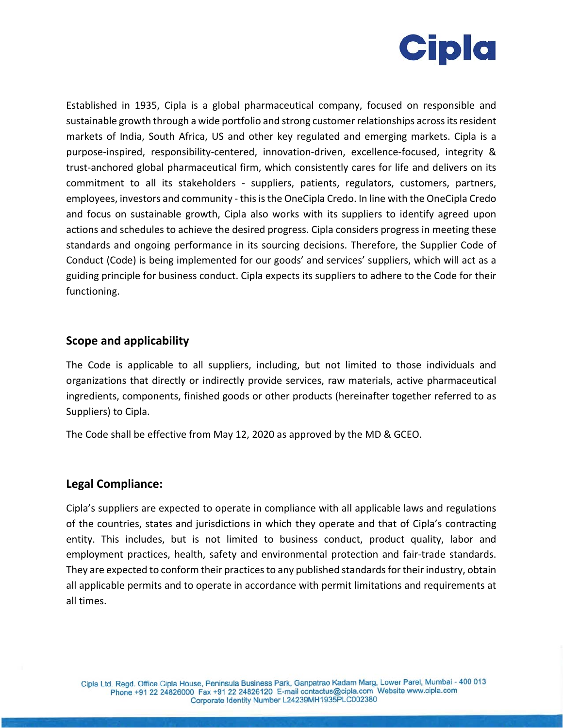

Established in 1935, Cipla is a global pharmaceutical company, focused on responsible and sustainable growth through a wide portfolio and strong customer relationships across its resident markets of India, South Africa, US and other key regulated and emerging markets. Cipla is a purpose-inspired, responsibility-centered, innovation-driven, excellence-focused, integrity & trust‐anchored global pharmaceutical firm, which consistently cares for life and delivers on its commitment to all its stakeholders - suppliers, patients, regulators, customers, partners, employees, investors and community ‐ this is the OneCipla Credo. In line with the OneCipla Credo and focus on sustainable growth, Cipla also works with its suppliers to identify agreed upon actions and schedules to achieve the desired progress. Cipla considers progress in meeting these standards and ongoing performance in its sourcing decisions. Therefore, the Supplier Code of Conduct (Code) is being implemented for our goods' and services' suppliers, which will act as a guiding principle for business conduct. Cipla expects its suppliers to adhere to the Code for their functioning.

#### **Scope and applicability**

The Code is applicable to all suppliers, including, but not limited to those individuals and organizations that directly or indirectly provide services, raw materials, active pharmaceutical ingredients, components, finished goods or other products (hereinafter together referred to as Suppliers) to Cipla.

The Code shall be effective from May 12, 2020 as approved by the MD & GCEO.

#### **Legal Compliance:**

Cipla's suppliers are expected to operate in compliance with all applicable laws and regulations of the countries, states and jurisdictions in which they operate and that of Cipla's contracting entity. This includes, but is not limited to business conduct, product quality, labor and employment practices, health, safety and environmental protection and fair-trade standards. They are expected to conform their practices to any published standards for their industry, obtain all applicable permits and to operate in accordance with permit limitations and requirements at all times.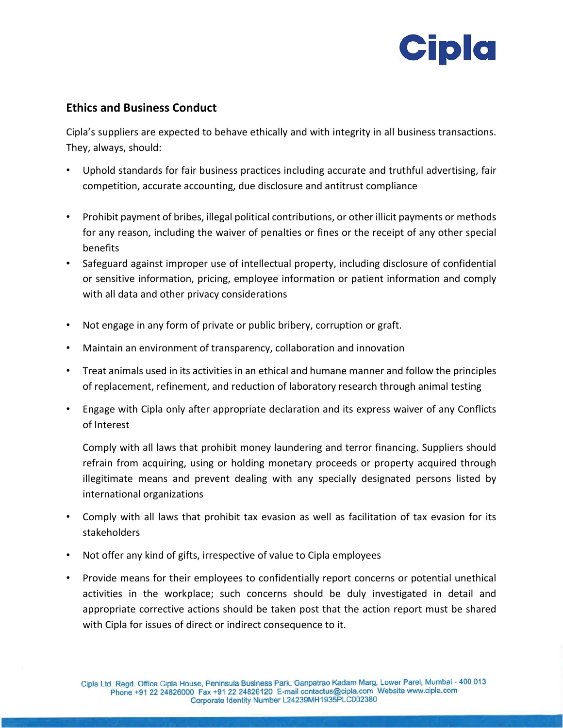

# **Ethics and Business Conduct**

Cipla's suppliers are expected to behave ethically and with integrity in all business transactions. They, always, should:

- Uphold standards for fair business practices including accurate and truthful advertising, fair competition, accurate accounting, due disclosure and antitrust compliance
- Prohibit payment of bribes, illegal political contributions, or other illicit payments or methods for any reason, including the waiver of penalties or fines or the receipt of any other special benefits
- Safeguard against improper use of intellectual property, including disclosure of confidential or sensitive information, pricing, employee information or patient information and comply with all data and other privacy considerations
- Not engage in any form of private or public bribery, corruption or graft.
- Maintain an environment of transparency, collaboration and innovation
- Treat animals used in its activities in an ethical and humane manner and follow the principles of replacement, refinement, and reduction of laboratory research through animal testing
- Engage with Cipla only after appropriate declaration and its express waiver of any Conflicts of Interest

Comply with all laws that prohibit money laundering and terror financing. Suppliers should refrain from acquiring, using or holding monetary proceeds or property acquired through illegitimate means and prevent dealing with any specially designated persons listed by international organizations

- Comply with all laws that prohibit tax evasion as well as facilitation of tax evasion for its stakeholders
- Not offer any kind of gifts, irrespective of value to Cipla employees
- Provide means for their employees to confidentially report concerns or potential unethical activities in the workplace; such concerns should be duly investigated in detail and appropriate corrective actions should be taken post that the action report must be shared with Cipla for issues of direct or indirect consequence to it.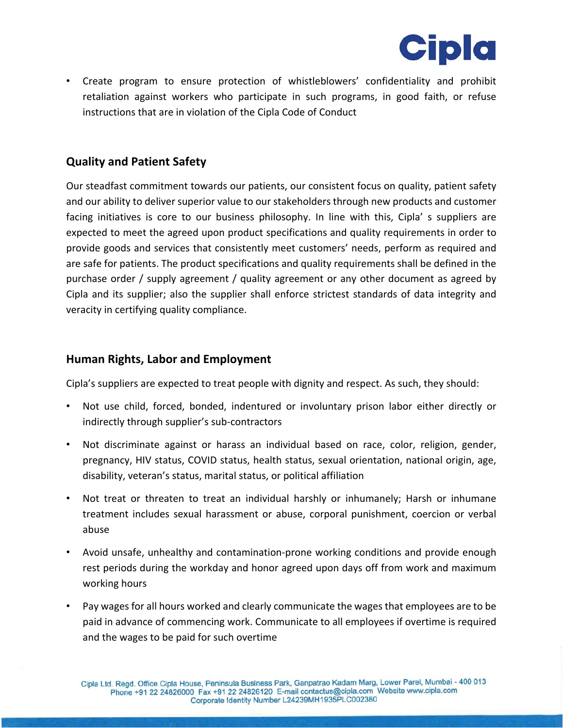

• Create program to ensure protection of whistleblowers' confidentiality and prohibit retaliation against workers who participate in such programs, in good faith, or refuse instructions that are in violation of the Cipla Code of Conduct

# **Quality and Patient Safety**

Our steadfast commitment towards our patients, our consistent focus on quality, patient safety and our ability to deliver superior value to our stakeholders through new products and customer facing initiatives is core to our business philosophy. In line with this, Cipla's suppliers are expected to meet the agreed upon product specifications and quality requirements in order to provide goods and services that consistently meet customers' needs, perform as required and are safe for patients. The product specifications and quality requirements shall be defined in the purchase order / supply agreement / quality agreement or any other document as agreed by Cipla and its supplier; also the supplier shall enforce strictest standards of data integrity and veracity in certifying quality compliance.

#### **Human Rights, Labor and Employment**

Cipla's suppliers are expected to treat people with dignity and respect. As such, they should:

- Not use child, forced, bonded, indentured or involuntary prison labor either directly or indirectly through supplier's sub‐contractors
- Not discriminate against or harass an individual based on race, color, religion, gender, pregnancy, HIV status, COVID status, health status, sexual orientation, national origin, age, disability, veteran's status, marital status, or political affiliation
- Not treat or threaten to treat an individual harshly or inhumanely; Harsh or inhumane treatment includes sexual harassment or abuse, corporal punishment, coercion or verbal abuse
- Avoid unsafe, unhealthy and contamination‐prone working conditions and provide enough rest periods during the workday and honor agreed upon days off from work and maximum working hours
- Pay wages for all hours worked and clearly communicate the wages that employees are to be paid in advance of commencing work. Communicate to all employees if overtime is required and the wages to be paid for such overtime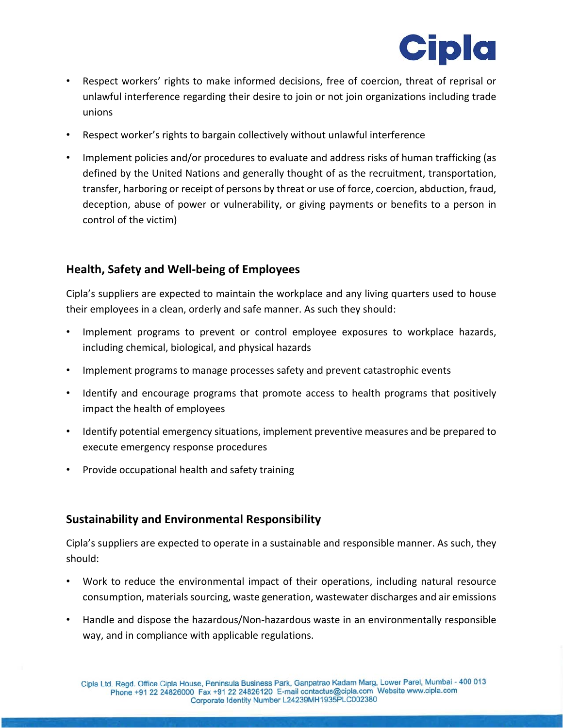

- Respect workers' rights to make informed decisions, free of coercion, threat of reprisal or unlawful interference regarding their desire to join or not join organizations including trade unions
- Respect worker's rights to bargain collectively without unlawful interference
- Implement policies and/or procedures to evaluate and address risks of human trafficking (as defined by the United Nations and generally thought of as the recruitment, transportation, transfer, harboring or receipt of persons by threat or use of force, coercion, abduction, fraud, deception, abuse of power or vulnerability, or giving payments or benefits to a person in control of the victim)

#### **Health, Safety and Well‐being of Employees**

Cipla's suppliers are expected to maintain the workplace and any living quarters used to house their employees in a clean, orderly and safe manner. As such they should:

- Implement programs to prevent or control employee exposures to workplace hazards, including chemical, biological, and physical hazards
- Implement programs to manage processes safety and prevent catastrophic events
- Identify and encourage programs that promote access to health programs that positively impact the health of employees
- Identify potential emergency situations, implement preventive measures and be prepared to execute emergency response procedures
- Provide occupational health and safety training

#### **Sustainability and Environmental Responsibility**

Cipla's suppliers are expected to operate in a sustainable and responsible manner. As such, they should:

- Work to reduce the environmental impact of their operations, including natural resource consumption, materials sourcing, waste generation, wastewater discharges and air emissions
- Handle and dispose the hazardous/Non-hazardous waste in an environmentally responsible way, and in compliance with applicable regulations.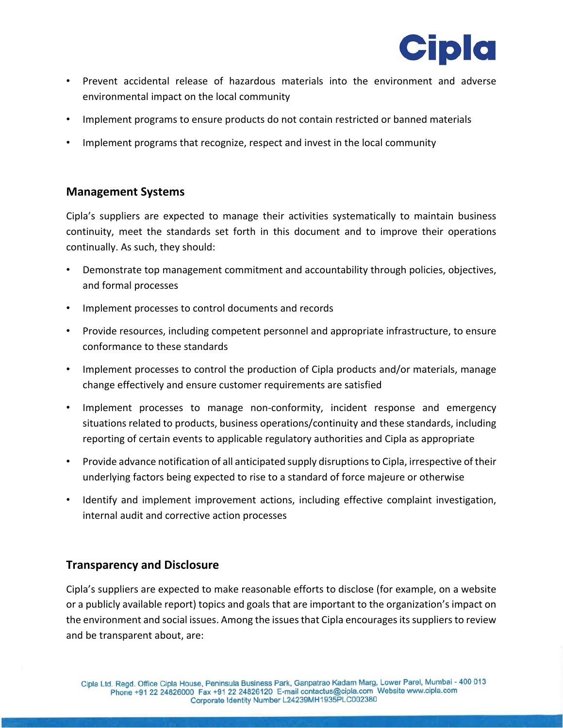

- Prevent accidental release of hazardous materials into the environment and adverse environmental impact on the local community
- Implement programs to ensure products do not contain restricted or banned materials
- Implement programs that recognize, respect and invest in the local community

#### **Management Systems**

Cipla's suppliers are expected to manage their activities systematically to maintain business continuity, meet the standards set forth in this document and to improve their operations continually. As such, they should:

- Demonstrate top management commitment and accountability through policies, objectives, and formal processes
- Implement processes to control documents and records
- Provide resources, including competent personnel and appropriate infrastructure, to ensure conformance to these standards
- Implement processes to control the production of Cipla products and/or materials, manage change effectively and ensure customer requirements are satisfied
- Implement processes to manage non-conformity, incident response and emergency situations related to products, business operations/continuity and these standards, including reporting of certain events to applicable regulatory authorities and Cipla as appropriate
- Provide advance notification of all anticipated supply disruptions to Cipla, irrespective of their underlying factors being expected to rise to a standard of force majeure or otherwise
- Identify and implement improvement actions, including effective complaint investigation, internal audit and corrective action processes

# **Transparency and Disclosure**

Cipla's suppliers are expected to make reasonable efforts to disclose (for example, on a website or a publicly available report) topics and goals that are important to the organization's impact on the environment and social issues. Among the issues that Cipla encourages its suppliers to review and be transparent about, are: